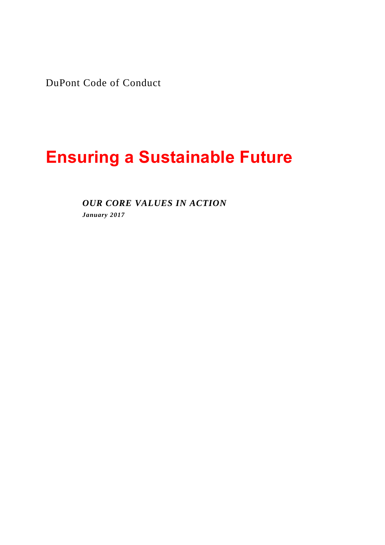DuPont Code of Conduct

# **Ensuring a Sustainable Future**

*OUR CORE VALUES IN ACTION January 2017*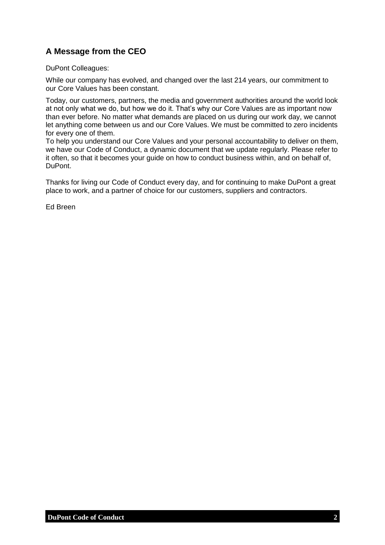## <span id="page-1-0"></span>**A Message from the CEO**

DuPont Colleagues:

While our company has evolved, and changed over the last 214 years, our commitment to our Core Values has been constant.

Today, our customers, partners, the media and government authorities around the world look at not only what we do, but how we do it. That's why our Core Values are as important now than ever before. No matter what demands are placed on us during our work day, we cannot let anything come between us and our Core Values. We must be committed to zero incidents for every one of them.

To help you understand our Core Values and your personal accountability to deliver on them. we have our Code of Conduct, a dynamic document that we update regularly. Please refer to it often, so that it becomes your guide on how to conduct business within, and on behalf of, DuPont.

Thanks for living our Code of Conduct every day, and for continuing to make DuPont a great place to work, and a partner of choice for our customers, suppliers and contractors.

Ed Breen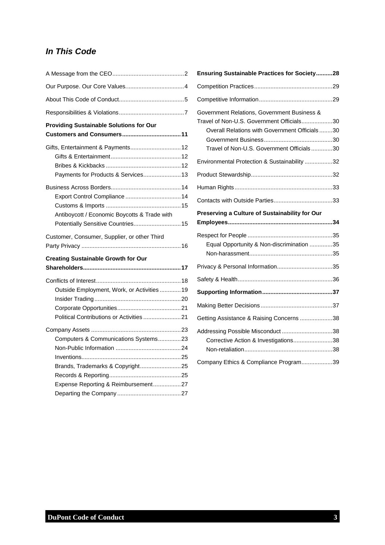## *In This Code*

| <b>Providing Sustainable Solutions for Our</b>                                                                  |
|-----------------------------------------------------------------------------------------------------------------|
|                                                                                                                 |
| Gifts, Entertainment & Payments 12<br>Payments for Products & Services 13                                       |
| Antiboycott / Economic Boycotts & Trade with<br>Potentially Sensitive Countries 15                              |
| Customer, Consumer, Supplier, or other Third                                                                    |
| <b>Creating Sustainable Growth for Our</b>                                                                      |
| Outside Employment, Work, or Activities  19                                                                     |
|                                                                                                                 |
| Computers & Communications Systems23<br>Brands, Trademarks & Copyright25<br>Expense Reporting & Reimbursement27 |

| Ensuring Sustainable Practices for Society28                                                                                                                                           |  |
|----------------------------------------------------------------------------------------------------------------------------------------------------------------------------------------|--|
|                                                                                                                                                                                        |  |
|                                                                                                                                                                                        |  |
| Government Relations, Government Business &<br>Travel of Non-U.S. Government Officials30<br>Overall Relations with Government Officials30<br>Travel of Non-U.S. Government Officials30 |  |
| Environmental Protection & Sustainability 32                                                                                                                                           |  |
|                                                                                                                                                                                        |  |
|                                                                                                                                                                                        |  |
|                                                                                                                                                                                        |  |
| Preserving a Culture of Sustainability for Our                                                                                                                                         |  |
| Equal Opportunity & Non-discrimination 35                                                                                                                                              |  |
|                                                                                                                                                                                        |  |
|                                                                                                                                                                                        |  |
|                                                                                                                                                                                        |  |
|                                                                                                                                                                                        |  |
| Getting Assistance & Raising Concerns 38                                                                                                                                               |  |
| Addressing Possible Misconduct 38<br>Corrective Action & Investigations38                                                                                                              |  |
| Company Ethics & Compliance Program39                                                                                                                                                  |  |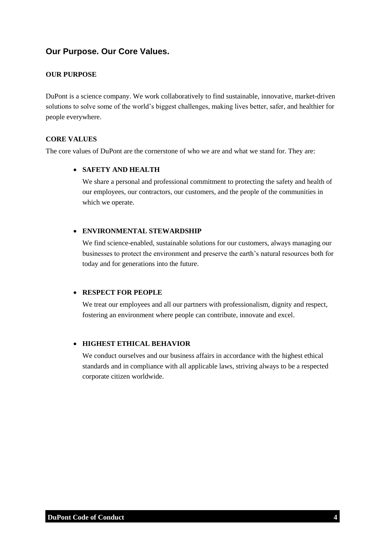## <span id="page-3-0"></span>**Our Purpose. Our Core Values.**

#### **OUR PURPOSE**

DuPont is a science company. We work collaboratively to find sustainable, innovative, market-driven solutions to solve some of the world's biggest challenges, making lives better, safer, and healthier for people everywhere.

#### **CORE VALUES**

The core values of DuPont are the cornerstone of who we are and what we stand for. They are:

#### **SAFETY AND HEALTH**

We share a personal and professional commitment to protecting the safety and health of our employees, our contractors, our customers, and the people of the communities in which we operate.

#### **ENVIRONMENTAL STEWARDSHIP**

We find science-enabled, sustainable solutions for our customers, always managing our businesses to protect the environment and preserve the earth's natural resources both for today and for generations into the future.

#### **RESPECT FOR PEOPLE**

We treat our employees and all our partners with professionalism, dignity and respect, fostering an environment where people can contribute, innovate and excel.

#### **HIGHEST ETHICAL BEHAVIOR**

We conduct ourselves and our business affairs in accordance with the highest ethical standards and in compliance with all applicable laws, striving always to be a respected corporate citizen worldwide.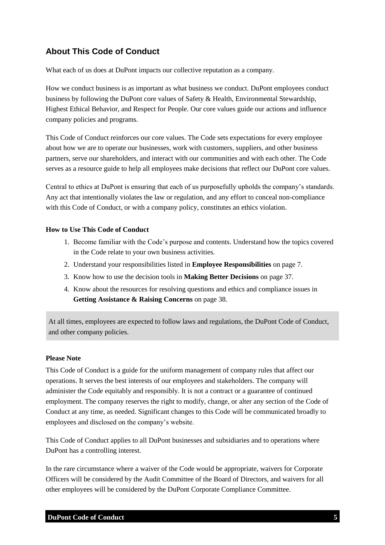## <span id="page-4-0"></span>**About This Code of Conduct**

What each of us does at DuPont impacts our collective reputation as a company.

How we conduct business is as important as what business we conduct. DuPont employees conduct business by following the DuPont core values of Safety & Health, Environmental Stewardship, Highest Ethical Behavior, and Respect for People. Our core values guide our actions and influence company policies and programs.

This Code of Conduct reinforces our core values. The Code sets expectations for every employee about how we are to operate our businesses, work with customers, suppliers, and other business partners, serve our shareholders, and interact with our communities and with each other. The Code serves as a resource guide to help all employees make decisions that reflect our DuPont core values.

Central to ethics at DuPont is ensuring that each of us purposefully upholds the company's standards. Any act that intentionally violates the law or regulation, and any effort to conceal non-compliance with this Code of Conduct, or with a company policy, constitutes an ethics violation.

#### **How to Use This Code of Conduct**

- 1. Become familiar with the Code's purpose and contents. Understand how the topics covered in the Code relate to your own business activities.
- 2. Understand your responsibilities listed in **Employee Responsibilities** on page 7.
- 3. Know how to use the decision tools in **Making Better Decisions** on page 37.
- 4. Know about the resources for resolving questions and ethics and compliance issues in **Getting Assistance & Raising Concerns** on page 38.

At all times, employees are expected to follow laws and regulations, the DuPont Code of Conduct, and other company policies.

#### **Please Note**

This Code of Conduct is a guide for the uniform management of company rules that affect our operations. It serves the best interests of our employees and stakeholders. The company will administer the Code equitably and responsibly. It is not a contract or a guarantee of continued employment. The company reserves the right to modify, change, or alter any section of the Code of Conduct at any time, as needed. Significant changes to this Code will be communicated broadly to employees and disclosed on the company's website.

This Code of Conduct applies to all DuPont businesses and subsidiaries and to operations where DuPont has a controlling interest.

In the rare circumstance where a waiver of the Code would be appropriate, waivers for Corporate Officers will be considered by the Audit Committee of the Board of Directors, and waivers for all other employees will be considered by the DuPont Corporate Compliance Committee.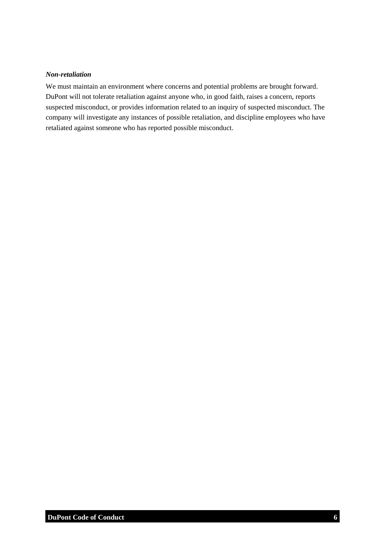#### *Non-retaliation*

We must maintain an environment where concerns and potential problems are brought forward. DuPont will not tolerate retaliation against anyone who, in good faith, raises a concern, reports suspected misconduct, or provides information related to an inquiry of suspected misconduct. The company will investigate any instances of possible retaliation, and discipline employees who have retaliated against someone who has reported possible misconduct.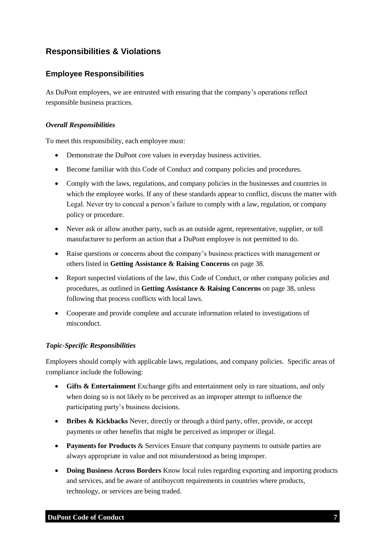## <span id="page-6-0"></span>**Responsibilities & Violations**

#### **Employee Responsibilities**

As DuPont employees, we are entrusted with ensuring that the company's operations reflect responsible business practices.

#### *Overall Responsibilities*

To meet this responsibility, each employee must:

- Demonstrate the DuPont core values in everyday business activities.
- Become familiar with this Code of Conduct and company policies and procedures.
- Comply with the laws, regulations, and company policies in the businesses and countries in which the employee works. If any of these standards appear to conflict, discuss the matter with Legal. Never try to conceal a person's failure to comply with a law, regulation, or company policy or procedure.
- Never ask or allow another party, such as an outside agent, representative, supplier, or toll manufacturer to perform an action that a DuPont employee is not permitted to do.
- Raise questions or concerns about the company's business practices with management or others listed in **Getting Assistance & Raising Concerns** on page 38.
- Report suspected violations of the law, this Code of Conduct, or other company policies and procedures, as outlined in **Getting Assistance & Raising Concerns** on page 38, unless following that process conflicts with local laws.
- Cooperate and provide complete and accurate information related to investigations of misconduct.

#### *Topic-Specific Responsibilities*

Employees should comply with applicable laws, regulations, and company policies. Specific areas of compliance include the following:

- **Gifts & Entertainment** Exchange gifts and entertainment only in rare situations, and only when doing so is not likely to be perceived as an improper attempt to influence the participating party's business decisions.
- **Bribes & Kickbacks** Never, directly or through a third party, offer, provide, or accept payments or other benefits that might be perceived as improper or illegal.
- **Payments for Products** & Services Ensure that company payments to outside parties are always appropriate in value and not misunderstood as being improper.
- **Doing Business Across Borders** Know local rules regarding exporting and importing products and services, and be aware of antiboycott requirements in countries where products, technology, or services are being traded.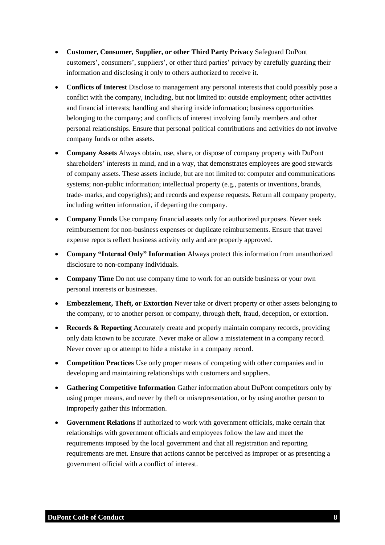- **Customer, Consumer, Supplier, or other Third Party Privacy** Safeguard DuPont customers', consumers', suppliers', or other third parties' privacy by carefully guarding their information and disclosing it only to others authorized to receive it.
- **Conflicts of Interest** Disclose to management any personal interests that could possibly pose a conflict with the company, including, but not limited to: outside employment; other activities and financial interests; handling and sharing inside information; business opportunities belonging to the company; and conflicts of interest involving family members and other personal relationships. Ensure that personal political contributions and activities do not involve company funds or other assets.
- **Company Assets** Always obtain, use, share, or dispose of company property with DuPont shareholders' interests in mind, and in a way, that demonstrates employees are good stewards of company assets. These assets include, but are not limited to: computer and communications systems; non-public information; intellectual property (e.g., patents or inventions, brands, trade- marks, and copyrights); and records and expense requests. Return all company property, including written information, if departing the company.
- **Company Funds** Use company financial assets only for authorized purposes. Never seek reimbursement for non-business expenses or duplicate reimbursements. Ensure that travel expense reports reflect business activity only and are properly approved.
- **Company "Internal Only" Information** Always protect this information from unauthorized disclosure to non-company individuals.
- **Company Time** Do not use company time to work for an outside business or your own personal interests or businesses.
- **Embezzlement, Theft, or Extortion** Never take or divert property or other assets belonging to the company, or to another person or company, through theft, fraud, deception, or extortion.
- **Records & Reporting** Accurately create and properly maintain company records, providing only data known to be accurate. Never make or allow a misstatement in a company record. Never cover up or attempt to hide a mistake in a company record.
- **Competition Practices** Use only proper means of competing with other companies and in developing and maintaining relationships with customers and suppliers.
- **Gathering Competitive Information** Gather information about DuPont competitors only by using proper means, and never by theft or misrepresentation, or by using another person to improperly gather this information.
- **Government Relations** If authorized to work with government officials, make certain that relationships with government officials and employees follow the law and meet the requirements imposed by the local government and that all registration and reporting requirements are met. Ensure that actions cannot be perceived as improper or as presenting a government official with a conflict of interest.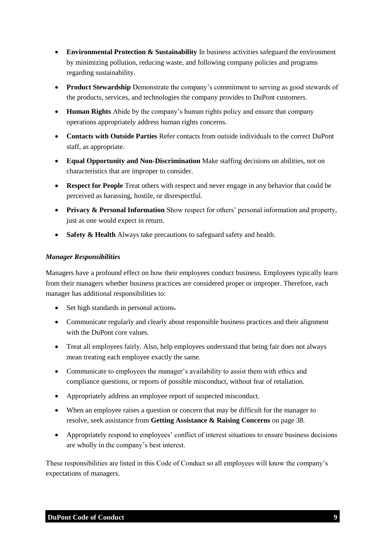- **Environmental Protection & Sustainability** In business activities safeguard the environment by minimizing pollution, reducing waste, and following company policies and programs regarding sustainability.
- **Product Stewardship** Demonstrate the company's commitment to serving as good stewards of the products, services, and technologies the company provides to DuPont customers.
- **Human Rights** Abide by the company's human rights policy and ensure that company operations appropriately address human rights concerns.
- **Contacts with Outside Parties** Refer contacts from outside individuals to the correct DuPont staff, as appropriate.
- **Equal Opportunity and Non-Discrimination** Make staffing decisions on abilities, not on characteristics that are improper to consider.
- **Respect for People** Treat others with respect and never engage in any behavior that could be perceived as harassing, hostile, or disrespectful.
- **Privacy & Personal Information** Show respect for others' personal information and property, just as one would expect in return.
- **Safety & Health** Always take precautions to safeguard safety and health.

#### *Manager Responsibilities*

Managers have a profound effect on how their employees conduct business. Employees typically learn from their managers whether business practices are considered proper or improper. Therefore, each manager has additional responsibilities to:

- Set high standards in personal actions.
- Communicate regularly and clearly about responsible business practices and their alignment with the DuPont core values.
- Treat all employees fairly. Also, help employees understand that being fair does not always mean treating each employee exactly the same.
- Communicate to employees the manager's availability to assist them with ethics and compliance questions, or reports of possible misconduct, without fear of retaliation.
- Appropriately address an employee report of suspected misconduct.
- When an employee raises a question or concern that may be difficult for the manager to resolve, seek assistance from **Getting Assistance & Raising Concerns** on page 38.
- Appropriately respond to employees' conflict of interest situations to ensure business decisions are wholly in the company's best interest.

These responsibilities are listed in this Code of Conduct so all employees will know the company's expectations of managers.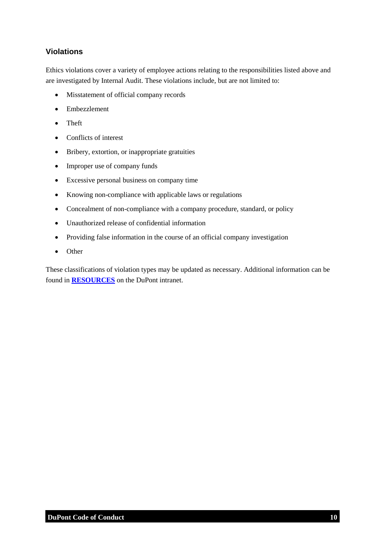### **Violations**

Ethics violations cover a variety of employee actions relating to the responsibilities listed above and are investigated by Internal Audit. These violations include, but are not limited to:

- Misstatement of official company records
- Embezzlement
- Theft
- Conflicts of interest
- Bribery, extortion, or inappropriate gratuities
- Improper use of company funds
- Excessive personal business on company time
- Knowing non-compliance with applicable laws or regulations
- Concealment of non-compliance with a company procedure, standard, or policy
- Unauthorized release of confidential information
- Providing false information in the course of an official company investigation
- Other

These classifications of violation types may be updated as necessary. Additional information can be found in **[RESOURCES](https://inside.dupont.com/sites/ethics-compliance/Documents/_ecc_files_/8_code_resources_26Apr.pdf)** on the DuPont intranet.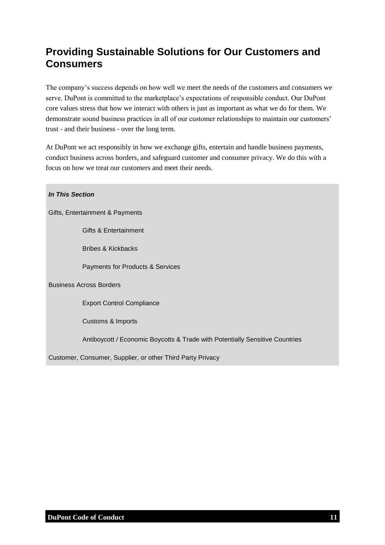## <span id="page-10-0"></span>**Providing Sustainable Solutions for Our Customers and Consumers**

The company's success depends on how well we meet the needs of the customers and consumers we serve. DuPont is committed to the marketplace's expectations of responsible conduct. Our DuPont core values stress that how we interact with others is just as important as what we do for them. We demonstrate sound business practices in all of our customer relationships to maintain our customers' trust - and their business - over the long term.

At DuPont we act responsibly in how we exchange gifts, entertain and handle business payments, conduct business across borders, and safeguard customer and consumer privacy. We do this with a focus on how we treat our customers and meet their needs.

*In This Section*

Gifts, Entertainment & Payments

Gifts & Entertainment

Bribes & Kickbacks

Payments for Products & Services

Business Across Borders

Export Control Compliance

Customs & Imports

Antiboycott / Economic Boycotts & Trade with Potentially Sensitive Countries

Customer, Consumer, Supplier, or other Third Party Privacy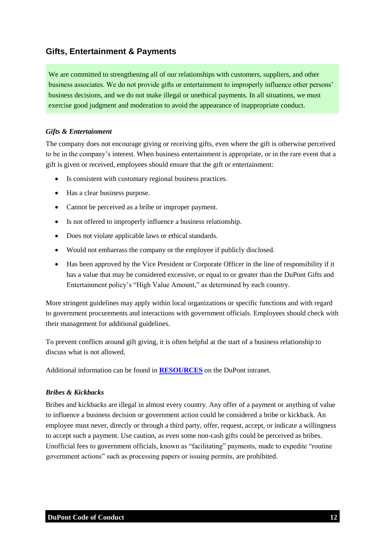### <span id="page-11-0"></span>**Gifts, Entertainment & Payments**

We are committed to strengthening all of our relationships with customers, suppliers, and other business associates. We do not provide gifts or entertainment to improperly influence other persons' business decisions, and we do not make illegal or unethical payments. In all situations, we must exercise good judgment and moderation to avoid the appearance of inappropriate conduct.

#### <span id="page-11-1"></span>*Gifts & Entertainment*

The company does not encourage giving or receiving gifts, even where the gift is otherwise perceived to be in the company's interest. When business entertainment is appropriate, or in the rare event that a gift is given or received, employees should ensure that the gift or entertainment:

- Is consistent with customary regional business practices.
- Has a clear business purpose.
- Cannot be perceived as a bribe or improper payment.
- Is not offered to improperly influence a business relationship.
- Does not violate applicable laws or ethical standards.
- Would not embarrass the company or the employee if publicly disclosed.
- Has been approved by the Vice President or Corporate Officer in the line of responsibility if it has a value that may be considered excessive, or equal to or greater than the DuPont Gifts and Entertainment policy's "High Value Amount," as determined by each country.

More stringent guidelines may apply within local organizations or specific functions and with regard to government procurements and interactions with government officials. Employees should check with their management for additional guidelines.

To prevent conflicts around gift giving, it is often helpful at the start of a business relationship to discuss what is not allowed.

<span id="page-11-2"></span>Additional information can be found in **[RESOURCES](https://inside.dupont.com/sites/ethics-compliance/Documents/_ecc_files_/8_code_resources_26Apr.pdf)** on the DuPont intranet.

#### *Bribes & Kickbacks*

Bribes and kickbacks are illegal in almost every country. Any offer of a payment or anything of value to influence a business decision or government action could be considered a bribe or kickback. An employee must never, directly or through a third party, offer, request, accept, or indicate a willingness to accept such a payment. Use caution, as even some non-cash gifts could be perceived as bribes. Unofficial fees to government officials, known as "facilitating" payments, made to expedite "routine government actions" such as processing papers or issuing permits, are prohibited.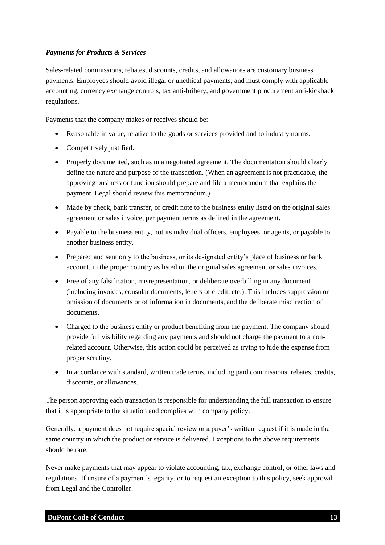#### <span id="page-12-0"></span>*Payments for Products & Services*

Sales-related commissions, rebates, discounts, credits, and allowances are customary business payments. Employees should avoid illegal or unethical payments, and must comply with applicable accounting, currency exchange controls, tax anti-bribery, and government procurement anti-kickback regulations.

Payments that the company makes or receives should be:

- Reasonable in value, relative to the goods or services provided and to industry norms.
- Competitively justified.
- Properly documented, such as in a negotiated agreement. The documentation should clearly define the nature and purpose of the transaction. (When an agreement is not practicable, the approving business or function should prepare and file a memorandum that explains the payment. Legal should review this memorandum.)
- Made by check, bank transfer, or credit note to the business entity listed on the original sales agreement or sales invoice, per payment terms as defined in the agreement.
- Payable to the business entity, not its individual officers, employees, or agents, or payable to another business entity.
- Prepared and sent only to the business, or its designated entity's place of business or bank account, in the proper country as listed on the original sales agreement or sales invoices.
- Free of any falsification, misrepresentation, or deliberate overbilling in any document (including invoices, consular documents, letters of credit, etc.). This includes suppression or omission of documents or of information in documents, and the deliberate misdirection of documents.
- Charged to the business entity or product benefiting from the payment. The company should provide full visibility regarding any payments and should not charge the payment to a nonrelated account. Otherwise, this action could be perceived as trying to hide the expense from proper scrutiny.
- In accordance with standard, written trade terms, including paid commissions, rebates, credits, discounts, or allowances.

The person approving each transaction is responsible for understanding the full transaction to ensure that it is appropriate to the situation and complies with company policy.

Generally, a payment does not require special review or a payer's written request if it is made in the same country in which the product or service is delivered. Exceptions to the above requirements should be rare.

Never make payments that may appear to violate accounting, tax, exchange control, or other laws and regulations. If unsure of a payment's legality, or to request an exception to this policy, seek approval from Legal and the Controller.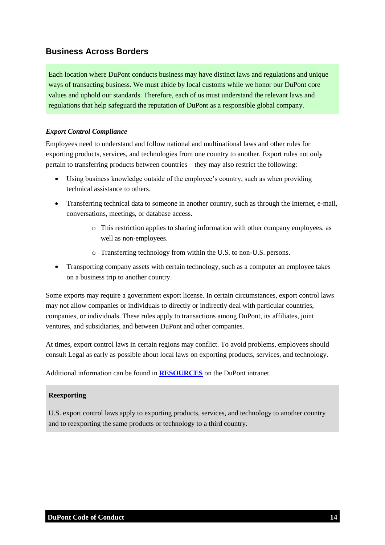## <span id="page-13-0"></span>**Business Across Borders**

Each location where DuPont conducts business may have distinct laws and regulations and unique ways of transacting business. We must abide by local customs while we honor our DuPont core values and uphold our standards. Therefore, each of us must understand the relevant laws and regulations that help safeguard the reputation of DuPont as a responsible global company.

#### <span id="page-13-1"></span>*Export Control Compliance*

Employees need to understand and follow national and multinational laws and other rules for exporting products, services, and technologies from one country to another. Export rules not only pertain to transferring products between countries—they may also restrict the following:

- Using business knowledge outside of the employee's country, such as when providing technical assistance to others.
- Transferring technical data to someone in another country, such as through the Internet, e-mail, conversations, meetings, or database access.
	- o This restriction applies to sharing information with other company employees, as well as non-employees.
	- o Transferring technology from within the U.S. to non-U.S. persons.
- Transporting company assets with certain technology, such as a computer an employee takes on a business trip to another country.

Some exports may require a government export license. In certain circumstances, export control laws may not allow companies or individuals to directly or indirectly deal with particular countries, companies, or individuals. These rules apply to transactions among DuPont, its affiliates, joint ventures, and subsidiaries, and between DuPont and other companies.

At times, export control laws in certain regions may conflict. To avoid problems, employees should consult Legal as early as possible about local laws on exporting products, services, and technology.

Additional information can be found in **[RESOURCES](https://inside.dupont.com/sites/ethics-compliance/Documents/_ecc_files_/8_code_resources_26Apr.pdf)** on the DuPont intranet.

#### **Reexporting**

U.S. export control laws apply to exporting products, services, and technology to another country and to reexporting the same products or technology to a third country.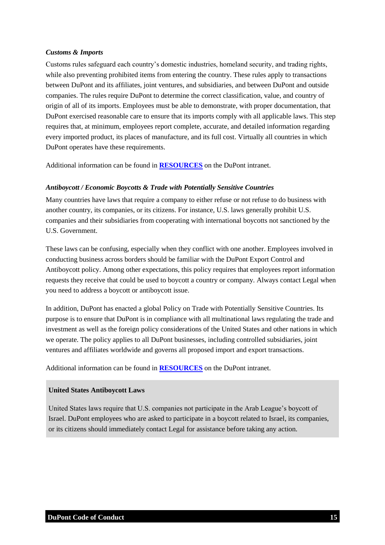#### <span id="page-14-0"></span>*Customs & Imports*

Customs rules safeguard each country's domestic industries, homeland security, and trading rights, while also preventing prohibited items from entering the country. These rules apply to transactions between DuPont and its affiliates, joint ventures, and subsidiaries, and between DuPont and outside companies. The rules require DuPont to determine the correct classification, value, and country of origin of all of its imports. Employees must be able to demonstrate, with proper documentation, that DuPont exercised reasonable care to ensure that its imports comply with all applicable laws. This step requires that, at minimum, employees report complete, accurate, and detailed information regarding every imported product, its places of manufacture, and its full cost. Virtually all countries in which DuPont operates have these requirements.

<span id="page-14-1"></span>Additional information can be found in **[RESOURCES](https://inside.dupont.com/sites/ethics-compliance/Documents/_ecc_files_/8_code_resources_26Apr.pdf)** on the DuPont intranet.

#### *Antiboycott / Economic Boycotts & Trade with Potentially Sensitive Countries*

Many countries have laws that require a company to either refuse or not refuse to do business with another country, its companies, or its citizens. For instance, U.S. laws generally prohibit U.S. companies and their subsidiaries from cooperating with international boycotts not sanctioned by the U.S. Government.

These laws can be confusing, especially when they conflict with one another. Employees involved in conducting business across borders should be familiar with the DuPont Export Control and Antiboycott policy. Among other expectations, this policy requires that employees report information requests they receive that could be used to boycott a country or company. Always contact Legal when you need to address a boycott or antiboycott issue.

In addition, DuPont has enacted a global Policy on Trade with Potentially Sensitive Countries. Its purpose is to ensure that DuPont is in compliance with all multinational laws regulating the trade and investment as well as the foreign policy considerations of the United States and other nations in which we operate. The policy applies to all DuPont businesses, including controlled subsidiaries, joint ventures and affiliates worldwide and governs all proposed import and export transactions.

Additional information can be found in **[RESOURCES](https://inside.dupont.com/sites/ethics-compliance/Documents/_ecc_files_/8_code_resources_26Apr.pdf)** on the DuPont intranet.

#### **United States Antiboycott Laws**

United States laws require that U.S. companies not participate in the Arab League's boycott of Israel. DuPont employees who are asked to participate in a boycott related to Israel, its companies, or its citizens should immediately contact Legal for assistance before taking any action.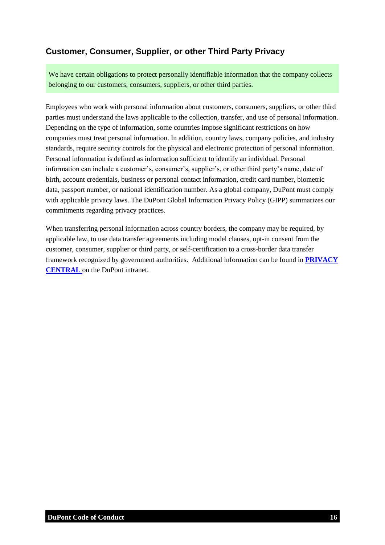## <span id="page-15-0"></span>**Customer, Consumer, Supplier, or other Third Party Privacy**

We have certain obligations to protect personally identifiable information that the company collects belonging to our customers, consumers, suppliers, or other third parties.

Employees who work with personal information about customers, consumers, suppliers, or other third parties must understand the laws applicable to the collection, transfer, and use of personal information. Depending on the type of information, some countries impose significant restrictions on how companies must treat personal information. In addition, country laws, company policies, and industry standards, require security controls for the physical and electronic protection of personal information. Personal information is defined as information sufficient to identify an individual. Personal information can include a customer's, consumer's, supplier's, or other third party's name, date of birth, account credentials, business or personal contact information, credit card number, biometric data, passport number, or national identification number. As a global company, DuPont must comply with applicable privacy laws. The DuPont Global Information Privacy Policy (GIPP) summarizes our commitments regarding privacy practices.

When transferring personal information across country borders, the company may be required, by applicable law, to use data transfer agreements including model clauses, opt-in consent from the customer, consumer, supplier or third party, or self-certification to a cross-border data transfer framework recognized by government authorities. Additional information can be found in **[PRIVACY](https://dupont.sharepoint.com/teams/teams_privacycentral/SitePages/Home.aspx)  [CENTRAL](https://dupont.sharepoint.com/teams/teams_privacycentral/SitePages/Home.aspx)** on the DuPont intranet.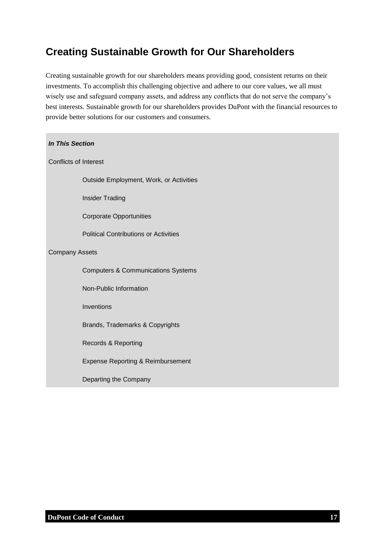## <span id="page-16-0"></span>**Creating Sustainable Growth for Our Shareholders**

Creating sustainable growth for our shareholders means providing good, consistent returns on their investments. To accomplish this challenging objective and adhere to our core values, we all must wisely use and safeguard company assets, and address any conflicts that do not serve the company's best interests. Sustainable growth for our shareholders provides DuPont with the financial resources to provide better solutions for our customers and consumers.

| <b>In This Section</b>                        |  |  |  |  |
|-----------------------------------------------|--|--|--|--|
| <b>Conflicts of Interest</b>                  |  |  |  |  |
| Outside Employment, Work, or Activities       |  |  |  |  |
| <b>Insider Trading</b>                        |  |  |  |  |
| <b>Corporate Opportunities</b>                |  |  |  |  |
| <b>Political Contributions or Activities</b>  |  |  |  |  |
| <b>Company Assets</b>                         |  |  |  |  |
| <b>Computers &amp; Communications Systems</b> |  |  |  |  |
| Non-Public Information                        |  |  |  |  |
| Inventions                                    |  |  |  |  |
| Brands, Trademarks & Copyrights               |  |  |  |  |
| Records & Reporting                           |  |  |  |  |
| <b>Expense Reporting &amp; Reimbursement</b>  |  |  |  |  |
| Departing the Company                         |  |  |  |  |
|                                               |  |  |  |  |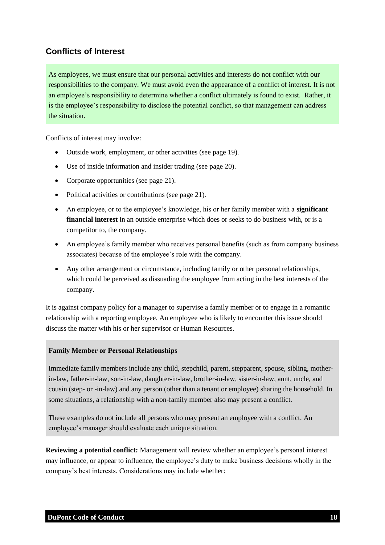## <span id="page-17-0"></span>**Conflicts of Interest**

As employees, we must ensure that our personal activities and interests do not conflict with our responsibilities to the company. We must avoid even the appearance of a conflict of interest. It is not an employee's responsibility to determine whether a conflict ultimately is found to exist. Rather, it is the employee's responsibility to disclose the potential conflict, so that management can address the situation.

Conflicts of interest may involve:

- Outside work, employment, or other activities (see page 19).
- Use of inside information and insider trading (see page 20).
- Corporate opportunities (see page 21).
- Political activities or contributions (see page 21).
- An employee, or to the employee's knowledge, his or her family member with a **significant financial interest** in an outside enterprise which does or seeks to do business with, or is a competitor to, the company.
- An employee's family member who receives personal benefits (such as from company business associates) because of the employee's role with the company.
- Any other arrangement or circumstance, including family or other personal relationships, which could be perceived as dissuading the employee from acting in the best interests of the company.

It is against company policy for a manager to supervise a family member or to engage in a romantic relationship with a reporting employee. An employee who is likely to encounter this issue should discuss the matter with his or her supervisor or Human Resources.

#### **Family Member or Personal Relationships**

Immediate family members include any child, stepchild, parent, stepparent, spouse, sibling, motherin-law, father-in-law, son-in-law, daughter-in-law, brother-in-law, sister-in-law, aunt, uncle, and cousin (step- or -in-law) and any person (other than a tenant or employee) sharing the household. In some situations, a relationship with a non-family member also may present a conflict.

These examples do not include all persons who may present an employee with a conflict. An employee's manager should evaluate each unique situation.

**Reviewing a potential conflict:** Management will review whether an employee's personal interest may influence, or appear to influence, the employee's duty to make business decisions wholly in the company's best interests. Considerations may include whether: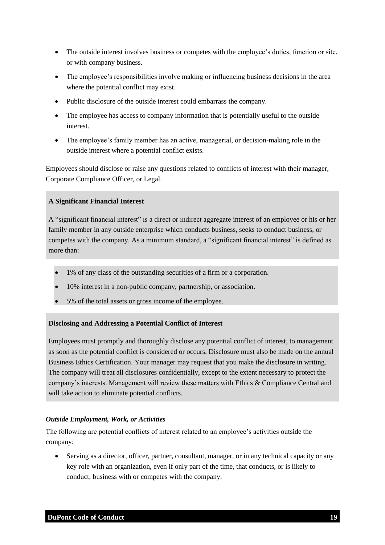- The outside interest involves business or competes with the employee's duties, function or site, or with company business.
- The employee's responsibilities involve making or influencing business decisions in the area where the potential conflict may exist.
- Public disclosure of the outside interest could embarrass the company.
- The employee has access to company information that is potentially useful to the outside interest.
- The employee's family member has an active, managerial, or decision-making role in the outside interest where a potential conflict exists.

Employees should disclose or raise any questions related to conflicts of interest with their manager, Corporate Compliance Officer, or Legal.

#### **A Significant Financial Interest**

A "significant financial interest" is a direct or indirect aggregate interest of an employee or his or her family member in any outside enterprise which conducts business, seeks to conduct business, or competes with the company. As a minimum standard, a "significant financial interest" is defined as more than:

- 1% of any class of the outstanding securities of a firm or a corporation.
- 10% interest in a non-public company, partnership, or association.
- 5% of the total assets or gross income of the employee.

#### **Disclosing and Addressing a Potential Conflict of Interest**

Employees must promptly and thoroughly disclose any potential conflict of interest, to management as soon as the potential conflict is considered or occurs. Disclosure must also be made on the annual Business Ethics Certification. Your manager may request that you make the disclosure in writing. The company will treat all disclosures confidentially, except to the extent necessary to protect the company's interests. Management will review these matters with Ethics & Compliance Central and will take action to eliminate potential conflicts.

#### <span id="page-18-0"></span>*Outside Employment, Work, or Activities*

The following are potential conflicts of interest related to an employee's activities outside the company:

 Serving as a director, officer, partner, consultant, manager, or in any technical capacity or any key role with an organization, even if only part of the time, that conducts, or is likely to conduct, business with or competes with the company.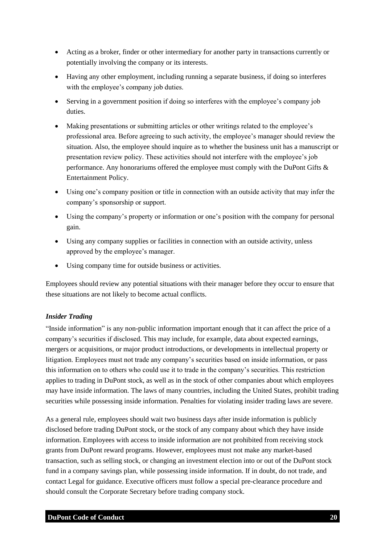- Acting as a broker, finder or other intermediary for another party in transactions currently or potentially involving the company or its interests.
- Having any other employment, including running a separate business, if doing so interferes with the employee's company job duties.
- Serving in a government position if doing so interferes with the employee's company job duties.
- Making presentations or submitting articles or other writings related to the employee's professional area. Before agreeing to such activity, the employee's manager should review the situation. Also, the employee should inquire as to whether the business unit has a manuscript or presentation review policy. These activities should not interfere with the employee's job performance. Any honorariums offered the employee must comply with the DuPont Gifts & Entertainment Policy.
- Using one's company position or title in connection with an outside activity that may infer the company's sponsorship or support.
- Using the company's property or information or one's position with the company for personal gain.
- Using any company supplies or facilities in connection with an outside activity, unless approved by the employee's manager.
- Using company time for outside business or activities.

Employees should review any potential situations with their manager before they occur to ensure that these situations are not likely to become actual conflicts.

#### <span id="page-19-0"></span>*Insider Trading*

"Inside information" is any non-public information important enough that it can affect the price of a company's securities if disclosed. This may include, for example, data about expected earnings, mergers or acquisitions, or major product introductions, or developments in intellectual property or litigation. Employees must not trade any company's securities based on inside information, or pass this information on to others who could use it to trade in the company's securities. This restriction applies to trading in DuPont stock, as well as in the stock of other companies about which employees may have inside information. The laws of many countries, including the United States, prohibit trading securities while possessing inside information. Penalties for violating insider trading laws are severe.

As a general rule, employees should wait two business days after inside information is publicly disclosed before trading DuPont stock, or the stock of any company about which they have inside information. Employees with access to inside information are not prohibited from receiving stock grants from DuPont reward programs. However, employees must not make any market-based transaction, such as selling stock, or changing an investment election into or out of the DuPont stock fund in a company savings plan, while possessing inside information. If in doubt, do not trade, and contact Legal for guidance. Executive officers must follow a special pre-clearance procedure and should consult the Corporate Secretary before trading company stock.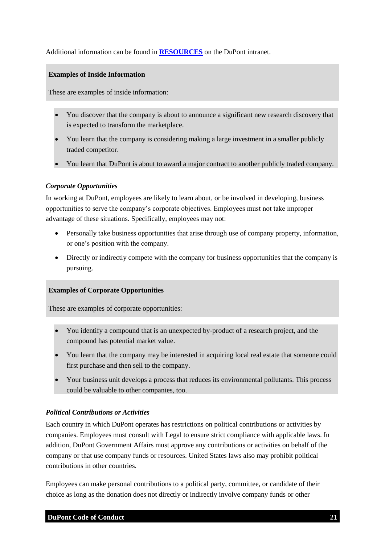#### Additional information can be found in **[RESOURCES](https://inside.dupont.com/sites/ethics-compliance/Documents/_ecc_files_/8_code_resources_26Apr.pdf)** on the DuPont intranet.

#### **Examples of Inside Information**

These are examples of inside information:

- You discover that the company is about to announce a significant new research discovery that is expected to transform the marketplace.
- You learn that the company is considering making a large investment in a smaller publicly traded competitor.
- <span id="page-20-0"></span>You learn that DuPont is about to award a major contract to another publicly traded company.

#### *Corporate Opportunities*

In working at DuPont, employees are likely to learn about, or be involved in developing, business opportunities to serve the company's corporate objectives. Employees must not take improper advantage of these situations. Specifically, employees may not:

- Personally take business opportunities that arise through use of company property, information, or one's position with the company.
- Directly or indirectly compete with the company for business opportunities that the company is pursuing.

#### **Examples of Corporate Opportunities**

These are examples of corporate opportunities:

- You identify a compound that is an unexpected by-product of a research project, and the compound has potential market value.
- You learn that the company may be interested in acquiring local real estate that someone could first purchase and then sell to the company.
- Your business unit develops a process that reduces its environmental pollutants. This process could be valuable to other companies, too.

#### <span id="page-20-1"></span>*Political Contributions or Activities*

Each country in which DuPont operates has restrictions on political contributions or activities by companies. Employees must consult with Legal to ensure strict compliance with applicable laws. In addition, DuPont Government Affairs must approve any contributions or activities on behalf of the company or that use company funds or resources. United States laws also may prohibit political contributions in other countries.

Employees can make personal contributions to a political party, committee, or candidate of their choice as long as the donation does not directly or indirectly involve company funds or other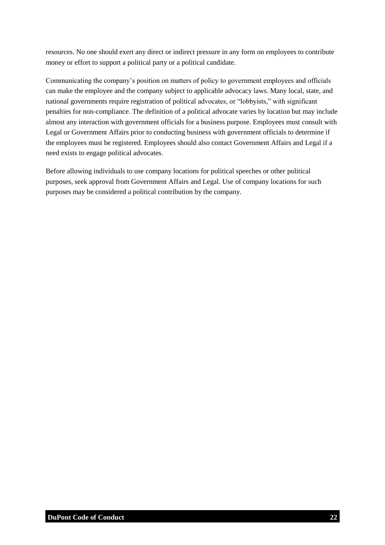resources. No one should exert any direct or indirect pressure in any form on employees to contribute money or effort to support a political party or a political candidate.

Communicating the company's position on matters of policy to government employees and officials can make the employee and the company subject to applicable advocacy laws. Many local, state, and national governments require registration of political advocates, or "lobbyists," with significant penalties for non-compliance. The definition of a political advocate varies by location but may include almost any interaction with government officials for a business purpose. Employees must consult with Legal or Government Affairs prior to conducting business with government officials to determine if the employees must be registered. Employees should also contact Government Affairs and Legal if a need exists to engage political advocates.

Before allowing individuals to use company locations for political speeches or other political purposes, seek approval from Government Affairs and Legal. Use of company locations for such purposes may be considered a political contribution by the company.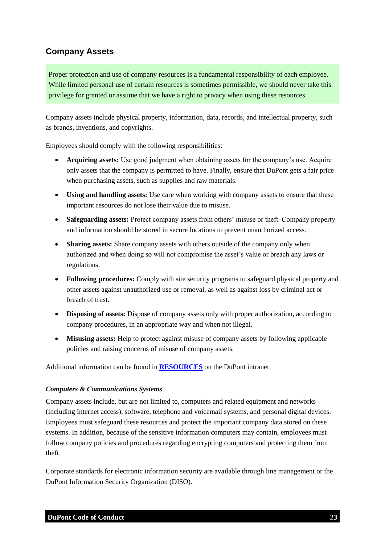## <span id="page-22-0"></span>**Company Assets**

Proper protection and use of company resources is a fundamental responsibility of each employee. While limited personal use of certain resources is sometimes permissible, we should never take this privilege for granted or assume that we have a right to privacy when using these resources.

Company assets include physical property, information, data, records, and intellectual property, such as brands, inventions, and copyrights.

Employees should comply with the following responsibilities:

- **Acquiring assets:** Use good judgment when obtaining assets for the company's use. Acquire only assets that the company is permitted to have. Finally, ensure that DuPont gets a fair price when purchasing assets, such as supplies and raw materials.
- **Using and handling assets:** Use care when working with company assets to ensure that these important resources do not lose their value due to misuse.
- **Safeguarding assets:** Protect company assets from others' misuse or theft. Company property and information should be stored in secure locations to prevent unauthorized access.
- **Sharing assets:** Share company assets with others outside of the company only when authorized and when doing so will not compromise the asset's value or breach any laws or regulations.
- **Following procedures:** Comply with site security programs to safeguard physical property and other assets against unauthorized use or removal, as well as against loss by criminal act or breach of trust.
- **Disposing of assets:** Dispose of company assets only with proper authorization, according to company procedures, in an appropriate way and when not illegal.
- **Misusing assets:** Help to protect against misuse of company assets by following applicable policies and raising concerns of misuse of company assets.

<span id="page-22-1"></span>Additional information can be found in **[RESOURCES](https://inside.dupont.com/sites/ethics-compliance/Documents/_ecc_files_/8_code_resources_26Apr.pdf)** on the DuPont intranet.

#### *Computers & Communications Systems*

Company assets include, but are not limited to, computers and related equipment and networks (including Internet access), software, telephone and voicemail systems, and personal digital devices. Employees must safeguard these resources and protect the important company data stored on these systems. In addition, because of the sensitive information computers may contain, employees must follow company policies and procedures regarding encrypting computers and protecting them from theft.

Corporate standards for electronic information security are available through line management or the DuPont Information Security Organization (DISO).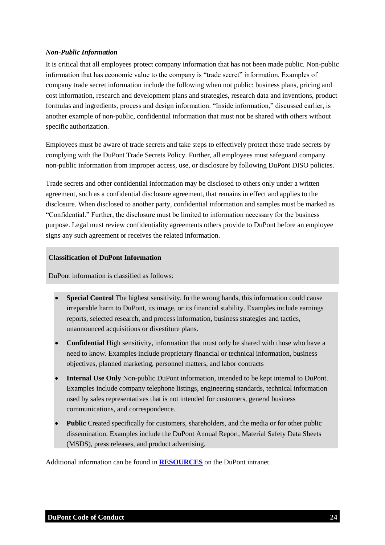#### <span id="page-23-0"></span>*Non-Public Information*

It is critical that all employees protect company information that has not been made public. Non-public information that has economic value to the company is "trade secret" information. Examples of company trade secret information include the following when not public: business plans, pricing and cost information, research and development plans and strategies, research data and inventions, product formulas and ingredients, process and design information. "Inside information," discussed earlier, is another example of non-public, confidential information that must not be shared with others without specific authorization.

Employees must be aware of trade secrets and take steps to effectively protect those trade secrets by complying with the DuPont Trade Secrets Policy. Further, all employees must safeguard company non-public information from improper access, use, or disclosure by following DuPont DISO policies.

Trade secrets and other confidential information may be disclosed to others only under a written agreement, such as a confidential disclosure agreement, that remains in effect and applies to the disclosure. When disclosed to another party, confidential information and samples must be marked as "Confidential." Further, the disclosure must be limited to information necessary for the business purpose. Legal must review confidentiality agreements others provide to DuPont before an employee signs any such agreement or receives the related information.

#### **Classification of DuPont Information**

DuPont information is classified as follows:

- **Special Control** The highest sensitivity. In the wrong hands, this information could cause irreparable harm to DuPont, its image, or its financial stability. Examples include earnings reports, selected research, and process information, business strategies and tactics, unannounced acquisitions or divestiture plans.
- **Confidential** High sensitivity, information that must only be shared with those who have a need to know. Examples include proprietary financial or technical information, business objectives, planned marketing, personnel matters, and labor contracts
- **Internal Use Only** Non-public DuPont information, intended to be kept internal to DuPont. Examples include company telephone listings, engineering standards, technical information used by sales representatives that is not intended for customers, general business communications, and correspondence.
- **Public** Created specifically for customers, shareholders, and the media or for other public dissemination. Examples include the DuPont Annual Report, Material Safety Data Sheets (MSDS), press releases, and product advertising.

Additional information can be found in **[RESOURCES](https://inside.dupont.com/sites/ethics-compliance/Documents/_ecc_files_/8_code_resources_26Apr.pdf)** on the DuPont intranet.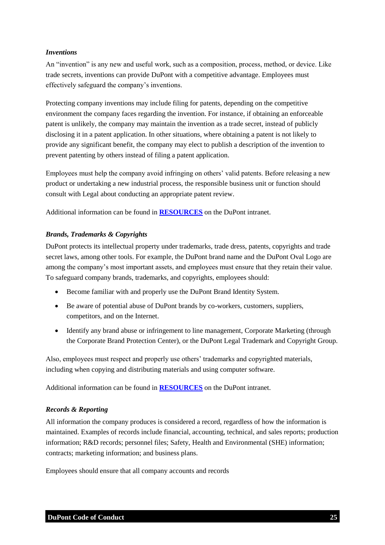#### <span id="page-24-0"></span>*Inventions*

An "invention" is any new and useful work, such as a composition, process, method, or device. Like trade secrets, inventions can provide DuPont with a competitive advantage. Employees must effectively safeguard the company's inventions.

Protecting company inventions may include filing for patents, depending on the competitive environment the company faces regarding the invention. For instance, if obtaining an enforceable patent is unlikely, the company may maintain the invention as a trade secret, instead of publicly disclosing it in a patent application. In other situations, where obtaining a patent is not likely to provide any significant benefit, the company may elect to publish a description of the invention to prevent patenting by others instead of filing a patent application.

Employees must help the company avoid infringing on others' valid patents. Before releasing a new product or undertaking a new industrial process, the responsible business unit or function should consult with Legal about conducting an appropriate patent review.

<span id="page-24-1"></span>Additional information can be found in **[RESOURCES](https://inside.dupont.com/sites/ethics-compliance/Documents/_ecc_files_/8_code_resources_26Apr.pdf)** on the DuPont intranet.

#### *Brands, Trademarks & Copyrights*

DuPont protects its intellectual property under trademarks, trade dress, patents, copyrights and trade secret laws, among other tools. For example, the DuPont brand name and the DuPont Oval Logo are among the company's most important assets, and employees must ensure that they retain their value. To safeguard company brands, trademarks, and copyrights, employees should:

- Become familiar with and properly use the DuPont Brand Identity System.
- Be aware of potential abuse of DuPont brands by co-workers, customers, suppliers, competitors, and on the Internet.
- Identify any brand abuse or infringement to line management, Corporate Marketing (through the Corporate Brand Protection Center), or the DuPont Legal Trademark and Copyright Group.

Also, employees must respect and properly use others' trademarks and copyrighted materials, including when copying and distributing materials and using computer software.

<span id="page-24-2"></span>Additional information can be found in **[RESOURCES](https://inside.dupont.com/sites/ethics-compliance/Documents/_ecc_files_/8_code_resources_26Apr.pdf)** on the DuPont intranet.

#### *Records & Reporting*

All information the company produces is considered a record, regardless of how the information is maintained. Examples of records include financial, accounting, technical, and sales reports; production information; R&D records; personnel files; Safety, Health and Environmental (SHE) information; contracts; marketing information; and business plans.

Employees should ensure that all company accounts and records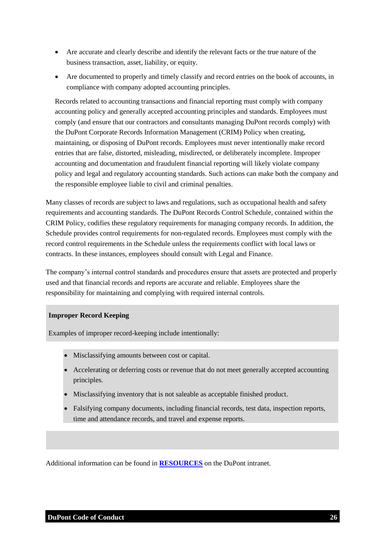- Are accurate and clearly describe and identify the relevant facts or the true nature of the business transaction, asset, liability, or equity.
- Are documented to properly and timely classify and record entries on the book of accounts, in compliance with company adopted accounting principles.

Records related to accounting transactions and financial reporting must comply with company accounting policy and generally accepted accounting principles and standards. Employees must comply (and ensure that our contractors and consultants managing DuPont records comply) with the DuPont Corporate Records Information Management (CRIM) Policy when creating, maintaining, or disposing of DuPont records. Employees must never intentionally make record entries that are false, distorted, misleading, misdirected, or deliberately incomplete. Improper accounting and documentation and fraudulent financial reporting will likely violate company policy and legal and regulatory accounting standards. Such actions can make both the company and the responsible employee liable to civil and criminal penalties.

Many classes of records are subject to laws and regulations, such as occupational health and safety requirements and accounting standards. The DuPont Records Control Schedule, contained within the CRIM Policy, codifies these regulatory requirements for managing company records. In addition, the Schedule provides control requirements for non-regulated records. Employees must comply with the record control requirements in the Schedule unless the requirements conflict with local laws or contracts. In these instances, employees should consult with Legal and Finance.

The company's internal control standards and procedures ensure that assets are protected and properly used and that financial records and reports are accurate and reliable. Employees share the responsibility for maintaining and complying with required internal controls.

#### **Improper Record Keeping**

Examples of improper record-keeping include intentionally:

- Misclassifying amounts between cost or capital.
- Accelerating or deferring costs or revenue that do not meet generally accepted accounting principles.
- Misclassifying inventory that is not saleable as acceptable finished product.
- Falsifying company documents, including financial records, test data, inspection reports, time and attendance records, and travel and expense reports.

Additional information can be found in **[RESOURCES](https://inside.dupont.com/sites/ethics-compliance/Documents/_ecc_files_/8_code_resources_26Apr.pdf)** on the DuPont intranet.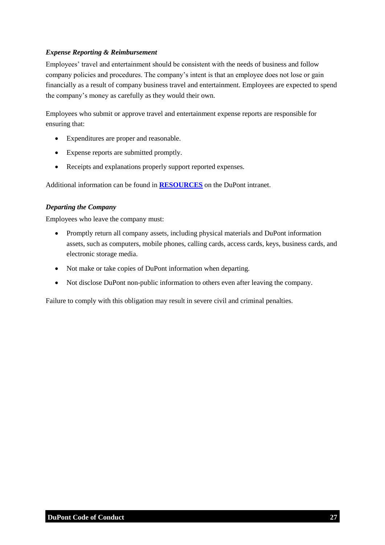#### <span id="page-26-0"></span>*Expense Reporting & Reimbursement*

Employees' travel and entertainment should be consistent with the needs of business and follow company policies and procedures. The company's intent is that an employee does not lose or gain financially as a result of company business travel and entertainment. Employees are expected to spend the company's money as carefully as they would their own.

Employees who submit or approve travel and entertainment expense reports are responsible for ensuring that:

- Expenditures are proper and reasonable.
- Expense reports are submitted promptly.
- Receipts and explanations properly support reported expenses.

<span id="page-26-1"></span>Additional information can be found in **[RESOURCES](https://inside.dupont.com/sites/ethics-compliance/Documents/_ecc_files_/8_code_resources_26Apr.pdf)** on the DuPont intranet.

#### *Departing the Company*

Employees who leave the company must:

- Promptly return all company assets, including physical materials and DuPont information assets, such as computers, mobile phones, calling cards, access cards, keys, business cards, and electronic storage media.
- Not make or take copies of DuPont information when departing.
- Not disclose DuPont non-public information to others even after leaving the company.

Failure to comply with this obligation may result in severe civil and criminal penalties.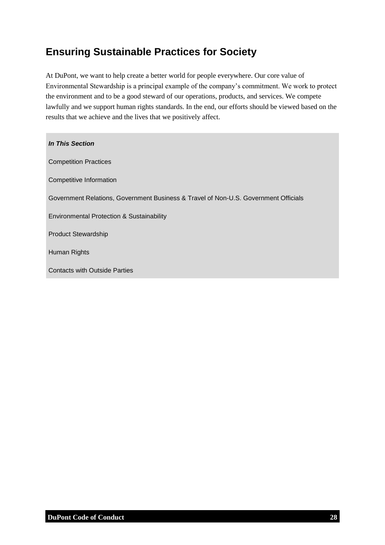## <span id="page-27-0"></span>**Ensuring Sustainable Practices for Society**

At DuPont, we want to help create a better world for people everywhere. Our core value of Environmental Stewardship is a principal example of the company's commitment. We work to protect the environment and to be a good steward of our operations, products, and services. We compete lawfully and we support human rights standards. In the end, our efforts should be viewed based on the results that we achieve and the lives that we positively affect.

| In This Section                                                                     |
|-------------------------------------------------------------------------------------|
| <b>Competition Practices</b>                                                        |
| Competitive Information                                                             |
| Government Relations, Government Business & Travel of Non-U.S. Government Officials |
| Environmental Protection & Sustainability                                           |
| <b>Product Stewardship</b>                                                          |
| Human Rights                                                                        |
| <b>Contacts with Outside Parties</b>                                                |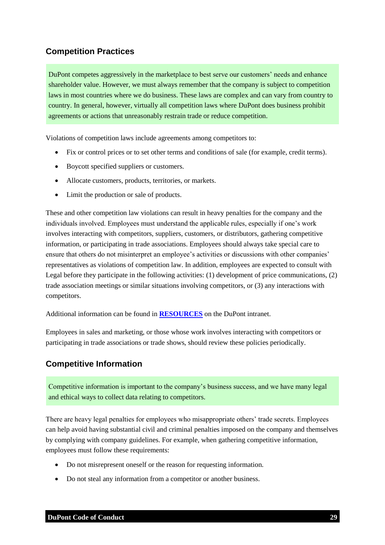## <span id="page-28-0"></span>**Competition Practices**

DuPont competes aggressively in the marketplace to best serve our customers' needs and enhance shareholder value. However, we must always remember that the company is subject to competition laws in most countries where we do business. These laws are complex and can vary from country to country. In general, however, virtually all competition laws where DuPont does business prohibit agreements or actions that unreasonably restrain trade or reduce competition.

Violations of competition laws include agreements among competitors to:

- Fix or control prices or to set other terms and conditions of sale (for example, credit terms).
- Boycott specified suppliers or customers.
- Allocate customers, products, territories, or markets.
- Limit the production or sale of products.

These and other competition law violations can result in heavy penalties for the company and the individuals involved. Employees must understand the applicable rules, especially if one's work involves interacting with competitors, suppliers, customers, or distributors, gathering competitive information, or participating in trade associations. Employees should always take special care to ensure that others do not misinterpret an employee's activities or discussions with other companies' representatives as violations of competition law. In addition, employees are expected to consult with Legal before they participate in the following activities: (1) development of price communications, (2) trade association meetings or similar situations involving competitors, or (3) any interactions with competitors.

Additional information can be found in **[RESOURCES](https://inside.dupont.com/sites/ethics-compliance/Documents/_ecc_files_/8_code_resources_26Apr.pdf)** on the DuPont intranet.

Employees in sales and marketing, or those whose work involves interacting with competitors or participating in trade associations or trade shows, should review these policies periodically.

#### <span id="page-28-1"></span>**Competitive Information**

Competitive information is important to the company's business success, and we have many legal and ethical ways to collect data relating to competitors.

There are heavy legal penalties for employees who misappropriate others' trade secrets. Employees can help avoid having substantial civil and criminal penalties imposed on the company and themselves by complying with company guidelines. For example, when gathering competitive information, employees must follow these requirements:

- Do not misrepresent oneself or the reason for requesting information.
- Do not steal any information from a competitor or another business.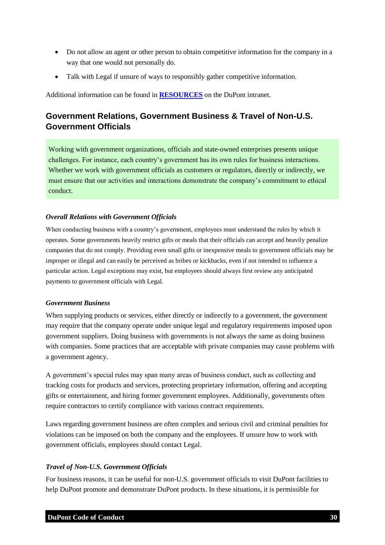- Do not allow an agent or other person to obtain competitive information for the company in a way that one would not personally do.
- Talk with Legal if unsure of ways to responsibly gather competitive information.

<span id="page-29-0"></span>Additional information can be found in **[RESOURCES](https://inside.dupont.com/sites/ethics-compliance/Documents/_ecc_files_/8_code_resources_26Apr.pdf)** on the DuPont intranet.

## **Government Relations, Government Business & Travel of Non-U.S. Government Officials**

Working with government organizations, officials and state-owned enterprises presents unique challenges. For instance, each country's government has its own rules for business interactions. Whether we work with government officials as customers or regulators, directly or indirectly, we must ensure that our activities and interactions demonstrate the company's commitment to ethical conduct.

#### <span id="page-29-1"></span>*Overall Relations with Government Officials*

When conducting business with a country's government, employees must understand the rules by which it operates. Some governments heavily restrict gifts or meals that their officials can accept and heavily penalize companies that do not comply. Providing even small gifts or inexpensive meals to government officials may be improper or illegal and can easily be perceived as bribes or kickbacks, even if not intended to influence a particular action. Legal exceptions may exist, but employees should always first review any anticipated payments to government officials with Legal.

#### <span id="page-29-2"></span>*Government Business*

When supplying products or services, either directly or indirectly to a government, the government may require that the company operate under unique legal and regulatory requirements imposed upon government suppliers. Doing business with governments is not always the same as doing business with companies. Some practices that are acceptable with private companies may cause problems with a government agency.

A government's special rules may span many areas of business conduct, such as collecting and tracking costs for products and services, protecting proprietary information, offering and accepting gifts or entertainment, and hiring former government employees. Additionally, governments often require contractors to certify compliance with various contract requirements.

Laws regarding government business are often complex and serious civil and criminal penalties for violations can be imposed on both the company and the employees. If unsure how to work with government officials, employees should contact Legal.

#### <span id="page-29-3"></span>*Travel of Non-U.S. Government Officials*

For business reasons, it can be useful for non-U.S. government officials to visit DuPont facilities to help DuPont promote and demonstrate DuPont products. In these situations, it is permissible for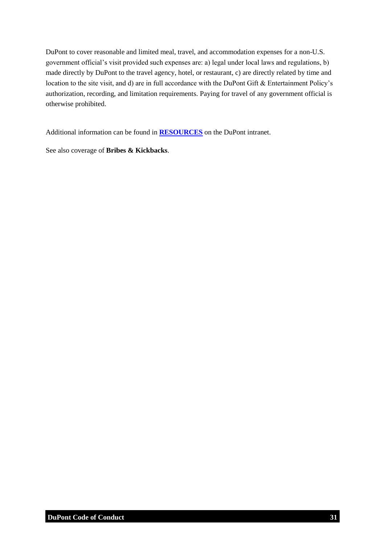DuPont to cover reasonable and limited meal, travel, and accommodation expenses for a non-U.S. government official's visit provided such expenses are: a) legal under local laws and regulations, b) made directly by DuPont to the travel agency, hotel, or restaurant, c) are directly related by time and location to the site visit, and d) are in full accordance with the DuPont Gift & Entertainment Policy's authorization, recording, and limitation requirements. Paying for travel of any government official is otherwise prohibited.

Additional information can be found in **[RESOURCES](https://inside.dupont.com/sites/ethics-compliance/Documents/_ecc_files_/8_code_resources_26Apr.pdf)** on the DuPont intranet.

<span id="page-30-0"></span>See also coverage of **Bribes & Kickbacks**.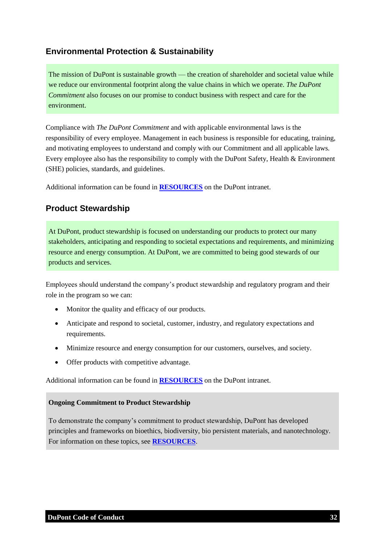## **Environmental Protection & Sustainability**

The mission of DuPont is sustainable growth — the creation of shareholder and societal value while we reduce our environmental footprint along the value chains in which we operate. *The DuPont Commitment* also focuses on our promise to conduct business with respect and care for the environment.

Compliance with *The DuPont Commitment* and with applicable environmental laws is the responsibility of every employee. Management in each business is responsible for educating, training, and motivating employees to understand and comply with our Commitment and all applicable laws. Every employee also has the responsibility to comply with the DuPont Safety, Health & Environment (SHE) policies, standards, and guidelines.

<span id="page-31-0"></span>Additional information can be found in **[RESOURCES](https://inside.dupont.com/sites/ethics-compliance/Documents/_ecc_files_/8_code_resources_26Apr.pdf)** on the DuPont intranet.

## **Product Stewardship**

At DuPont, product stewardship is focused on understanding our products to protect our many stakeholders, anticipating and responding to societal expectations and requirements, and minimizing resource and energy consumption. At DuPont, we are committed to being good stewards of our products and services.

Employees should understand the company's product stewardship and regulatory program and their role in the program so we can:

- Monitor the quality and efficacy of our products.
- Anticipate and respond to societal, customer, industry, and regulatory expectations and requirements.
- Minimize resource and energy consumption for our customers, ourselves, and society.
- Offer products with competitive advantage.

Additional information can be found in **[RESOURCES](https://inside.dupont.com/sites/ethics-compliance/Documents/_ecc_files_/8_code_resources_26Apr.pdf)** on the DuPont intranet.

#### **Ongoing Commitment to Product Stewardship**

To demonstrate the company's commitment to product stewardship, DuPont has developed principles and frameworks on bioethics, biodiversity, bio persistent materials, and nanotechnology. For information on these topics, see **[RESOURCES](https://inside.dupont.com/sites/ethics-compliance/Documents/_ecc_files_/8_code_resources_26Apr.pdf)**.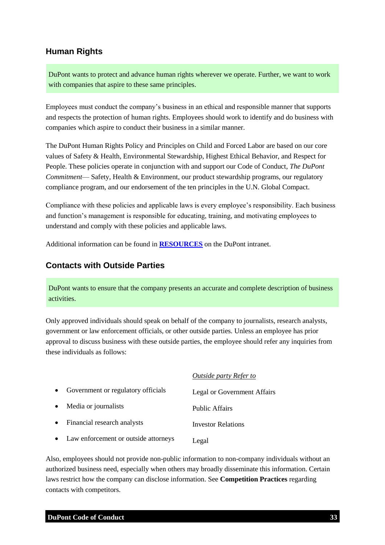### <span id="page-32-0"></span>**Human Rights**

DuPont wants to protect and advance human rights wherever we operate. Further, we want to work with companies that aspire to these same principles.

Employees must conduct the company's business in an ethical and responsible manner that supports and respects the protection of human rights. Employees should work to identify and do business with companies which aspire to conduct their business in a similar manner.

The DuPont Human Rights Policy and Principles on Child and Forced Labor are based on our core values of Safety & Health, Environmental Stewardship, Highest Ethical Behavior, and Respect for People. These policies operate in conjunction with and support our Code of Conduct, *The DuPont Commitment*— Safety, Health & Environment, our product stewardship programs, our regulatory compliance program, and our endorsement of the ten principles in the U.N. Global Compact.

Compliance with these policies and applicable laws is every employee's responsibility. Each business and function's management is responsible for educating, training, and motivating employees to understand and comply with these policies and applicable laws.

<span id="page-32-1"></span>Additional information can be found in **[RESOURCES](https://inside.dupont.com/sites/ethics-compliance/Documents/_ecc_files_/8_code_resources_26Apr.pdf)** on the DuPont intranet.

#### **Contacts with Outside Parties**

DuPont wants to ensure that the company presents an accurate and complete description of business activities.

Only approved individuals should speak on behalf of the company to journalists, research analysts, government or law enforcement officials, or other outside parties. Unless an employee has prior approval to discuss business with these outside parties, the employee should refer any inquiries from these individuals as follows:

|           |                                        | <b>Outside party Refer to</b> |
|-----------|----------------------------------------|-------------------------------|
| $\bullet$ | Government or regulatory officials     | Legal or Government Affairs   |
| $\bullet$ | Media or journalists                   | <b>Public Affairs</b>         |
| $\bullet$ | Financial research analysts            | <b>Investor Relations</b>     |
|           | • Law enforcement or outside attorneys | Legal                         |

Also, employees should not provide non-public information to non-company individuals without an authorized business need, especially when others may broadly disseminate this information. Certain laws restrict how the company can disclose information. See **Competition Practices** regarding contacts with competitors.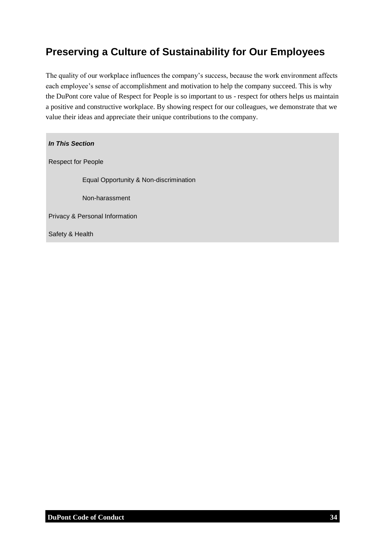## <span id="page-33-0"></span>**Preserving a Culture of Sustainability for Our Employees**

The quality of our workplace influences the company's success, because the work environment affects each employee's sense of accomplishment and motivation to help the company succeed. This is why the DuPont core value of Respect for People is so important to us - respect for others helps us maintain a positive and constructive workplace. By showing respect for our colleagues, we demonstrate that we value their ideas and appreciate their unique contributions to the company.

*In This Section* Respect for People Equal Opportunity & Non-discrimination Non-harassment Privacy & Personal Information

Safety & Health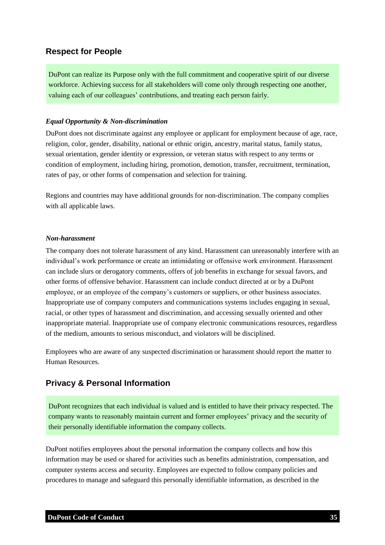### <span id="page-34-0"></span>**Respect for People**

DuPont can realize its Purpose only with the full commitment and cooperative spirit of our diverse workforce. Achieving success for all stakeholders will come only through respecting one another, valuing each of our colleagues' contributions, and treating each person fairly.

#### <span id="page-34-1"></span>*Equal Opportunity & Non-discrimination*

DuPont does not discriminate against any employee or applicant for employment because of age, race, religion, color, gender, disability, national or ethnic origin, ancestry, marital status, family status, sexual orientation, gender identity or expression, or veteran status with respect to any terms or condition of employment, including hiring, promotion, demotion, transfer, recruitment, termination, rates of pay, or other forms of compensation and selection for training.

Regions and countries may have additional grounds for non-discrimination. The company complies with all applicable laws.

#### <span id="page-34-2"></span>*Non-harassment*

The company does not tolerate harassment of any kind. Harassment can unreasonably interfere with an individual's work performance or create an intimidating or offensive work environment. Harassment can include slurs or derogatory comments, offers of job benefits in exchange for sexual favors, and other forms of offensive behavior. Harassment can include conduct directed at or by a DuPont employee, or an employee of the company's customers or suppliers, or other business associates. Inappropriate use of company computers and communications systems includes engaging in sexual, racial, or other types of harassment and discrimination, and accessing sexually oriented and other inappropriate material. Inappropriate use of company electronic communications resources, regardless of the medium, amounts to serious misconduct, and violators will be disciplined.

Employees who are aware of any suspected discrimination or harassment should report the matter to Human Resources.

#### <span id="page-34-3"></span>**Privacy & Personal Information**

DuPont recognizes that each individual is valued and is entitled to have their privacy respected. The company wants to reasonably maintain current and former employees' privacy and the security of their personally identifiable information the company collects.

DuPont notifies employees about the personal information the company collects and how this information may be used or shared for activities such as benefits administration, compensation, and computer systems access and security. Employees are expected to follow company policies and procedures to manage and safeguard this personally identifiable information, as described in the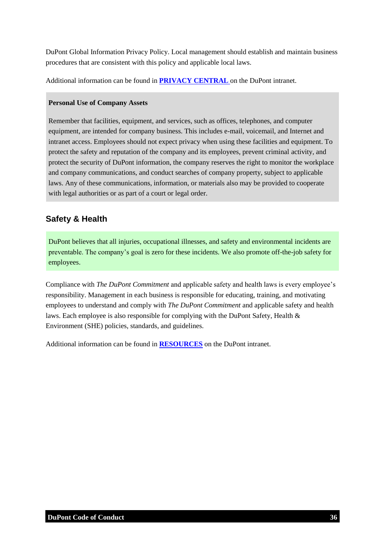DuPont Global Information Privacy Policy. Local management should establish and maintain business procedures that are consistent with this policy and applicable local laws.

Additional information can be found in **[PRIVACY CENTRAL](https://dupont.sharepoint.com/teams/teams_privacycentral/SitePages/Home.aspx)** on the DuPont intranet.

#### **Personal Use of Company Assets**

Remember that facilities, equipment, and services, such as offices, telephones, and computer equipment, are intended for company business. This includes e-mail, voicemail, and Internet and intranet access. Employees should not expect privacy when using these facilities and equipment. To protect the safety and reputation of the company and its employees, prevent criminal activity, and protect the security of DuPont information, the company reserves the right to monitor the workplace and company communications, and conduct searches of company property, subject to applicable laws. Any of these communications, information, or materials also may be provided to cooperate with legal authorities or as part of a court or legal order.

## <span id="page-35-0"></span>**Safety & Health**

DuPont believes that all injuries, occupational illnesses, and safety and environmental incidents are preventable. The company's goal is zero for these incidents. We also promote off-the-job safety for employees.

Compliance with *The DuPont Commitment* and applicable safety and health laws is every employee's responsibility. Management in each business is responsible for educating, training, and motivating employees to understand and comply with *The DuPont Commitment* and applicable safety and health laws. Each employee is also responsible for complying with the DuPont Safety, Health & Environment (SHE) policies, standards, and guidelines.

Additional information can be found in **[RESOURCES](https://inside.dupont.com/sites/ethics-compliance/Documents/_ecc_files_/8_code_resources_26Apr.pdf)** on the DuPont intranet.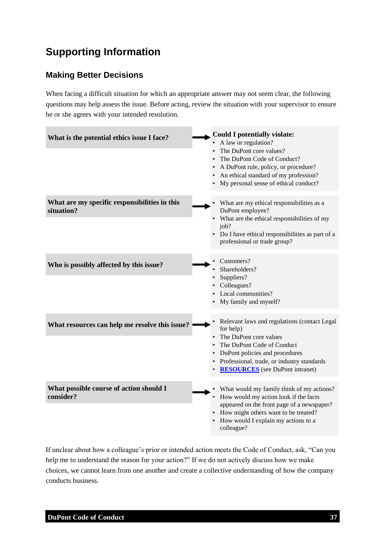## <span id="page-36-0"></span>**Supporting Information**

## <span id="page-36-1"></span>**Making Better Decisions**

When facing a difficult situation for which an appropriate answer may not seem clear, the following questions may help assess the issue. Before acting, review the situation with your supervisor to ensure he or she agrees with your intended resolution.

| What is the potential ethics issue I face?                  | <b>Could I potentially violate:</b><br>A law or regulation?<br>The DuPont core values?<br>The DuPont Code of Conduct?<br>A DuPont rule, policy, or procedure?<br>An ethical standard of my profession?<br>My personal sense of ethical conduct? |
|-------------------------------------------------------------|-------------------------------------------------------------------------------------------------------------------------------------------------------------------------------------------------------------------------------------------------|
| What are my specific responsibilities in this<br>situation? | What are my ethical responsibilities as a<br>DuPont employee?<br>• What are the ethical responsibilities of my<br>job?<br>• Do I have ethical responsibilities as part of a<br>professional or trade group?                                     |
| Who is possibly affected by this issue?                     | Customers?<br>Shareholders?<br>Suppliers?<br>Colleagues?<br>Local communities?<br>• My family and myself?                                                                                                                                       |
| What resources can help me resolve this issue?              | Relevant laws and regulations (contact Legal<br>for help)<br>The DuPont core values<br>The DuPont Code of Conduct<br>DuPont policies and procedures<br>Professional, trade, or industry standards<br><b>RESOURCES</b> (see DuPont intranet)     |
| What possible course of action should I<br>consider?        | What would my family think of my actions?<br>How would my action look if the facts<br>appeared on the front page of a newspaper?<br>• How might others want to be treated?<br>• How would I explain my actions to a<br>colleague?               |

If unclear about how a colleague's prior or intended action meets the Code of Conduct, ask, "Can you help me to understand the reason for your action?" If we do not actively discuss how we make choices, we cannot learn from one another and create a collective understanding of how the company conducts business.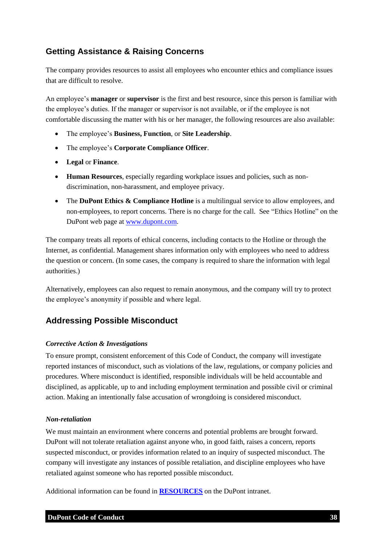## <span id="page-37-0"></span>**Getting Assistance & Raising Concerns**

The company provides resources to assist all employees who encounter ethics and compliance issues that are difficult to resolve.

An employee's **manager** or **supervisor** is the first and best resource, since this person is familiar with the employee's duties. If the manager or supervisor is not available, or if the employee is not comfortable discussing the matter with his or her manager, the following resources are also available:

- The employee's **Business, Function**, or **Site Leadership**.
- The employee's **Corporate Compliance Officer**.
- **Legal** or **Finance**.
- **Human Resources**, especially regarding workplace issues and policies, such as nondiscrimination, non-harassment, and employee privacy.
- The **DuPont Ethics & Compliance Hotline** is a multilingual service to allow employees, and non-employees, to report concerns. There is no charge for the call. See "Ethics Hotline" on the DuPont web page at [www.dupont.com.](http://www.dupont.com/)

The company treats all reports of ethical concerns, including contacts to the Hotline or through the Internet, as confidential. Management shares information only with employees who need to address the question or concern. (In some cases, the company is required to share the information with legal authorities.)

Alternatively, employees can also request to remain anonymous, and the company will try to protect the employee's anonymity if possible and where legal.

### <span id="page-37-1"></span>**Addressing Possible Misconduct**

#### <span id="page-37-2"></span>*Corrective Action & Investigations*

To ensure prompt, consistent enforcement of this Code of Conduct, the company will investigate reported instances of misconduct, such as violations of the law, regulations, or company policies and procedures. Where misconduct is identified, responsible individuals will be held accountable and disciplined, as applicable, up to and including employment termination and possible civil or criminal action. Making an intentionally false accusation of wrongdoing is considered misconduct.

#### <span id="page-37-3"></span>*Non-retaliation*

We must maintain an environment where concerns and potential problems are brought forward. DuPont will not tolerate retaliation against anyone who, in good faith, raises a concern, reports suspected misconduct, or provides information related to an inquiry of suspected misconduct. The company will investigate any instances of possible retaliation, and discipline employees who have retaliated against someone who has reported possible misconduct.

Additional information can be found in **[RESOURCES](https://inside.dupont.com/sites/ethics-compliance/Documents/_ecc_files_/8_code_resources_26Apr.pdf)** on the DuPont intranet.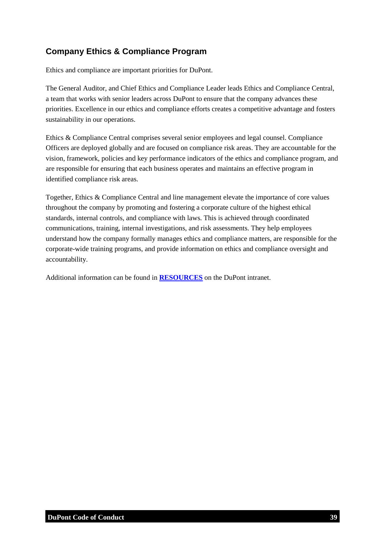## <span id="page-38-0"></span>**Company Ethics & Compliance Program**

Ethics and compliance are important priorities for DuPont.

The General Auditor, and Chief Ethics and Compliance Leader leads Ethics and Compliance Central, a team that works with senior leaders across DuPont to ensure that the company advances these priorities. Excellence in our ethics and compliance efforts creates a competitive advantage and fosters sustainability in our operations.

Ethics & Compliance Central comprises several senior employees and legal counsel. Compliance Officers are deployed globally and are focused on compliance risk areas. They are accountable for the vision, framework, policies and key performance indicators of the ethics and compliance program, and are responsible for ensuring that each business operates and maintains an effective program in identified compliance risk areas.

Together, Ethics & Compliance Central and line management elevate the importance of core values throughout the company by promoting and fostering a corporate culture of the highest ethical standards, internal controls, and compliance with laws. This is achieved through coordinated communications, training, internal investigations, and risk assessments. They help employees understand how the company formally manages ethics and compliance matters, are responsible for the corporate-wide training programs, and provide information on ethics and compliance oversight and accountability.

Additional information can be found in **[RESOURCES](https://inside.dupont.com/sites/ethics-compliance/Documents/_ecc_files_/8_code_resources_26Apr.pdf)** on the DuPont intranet.